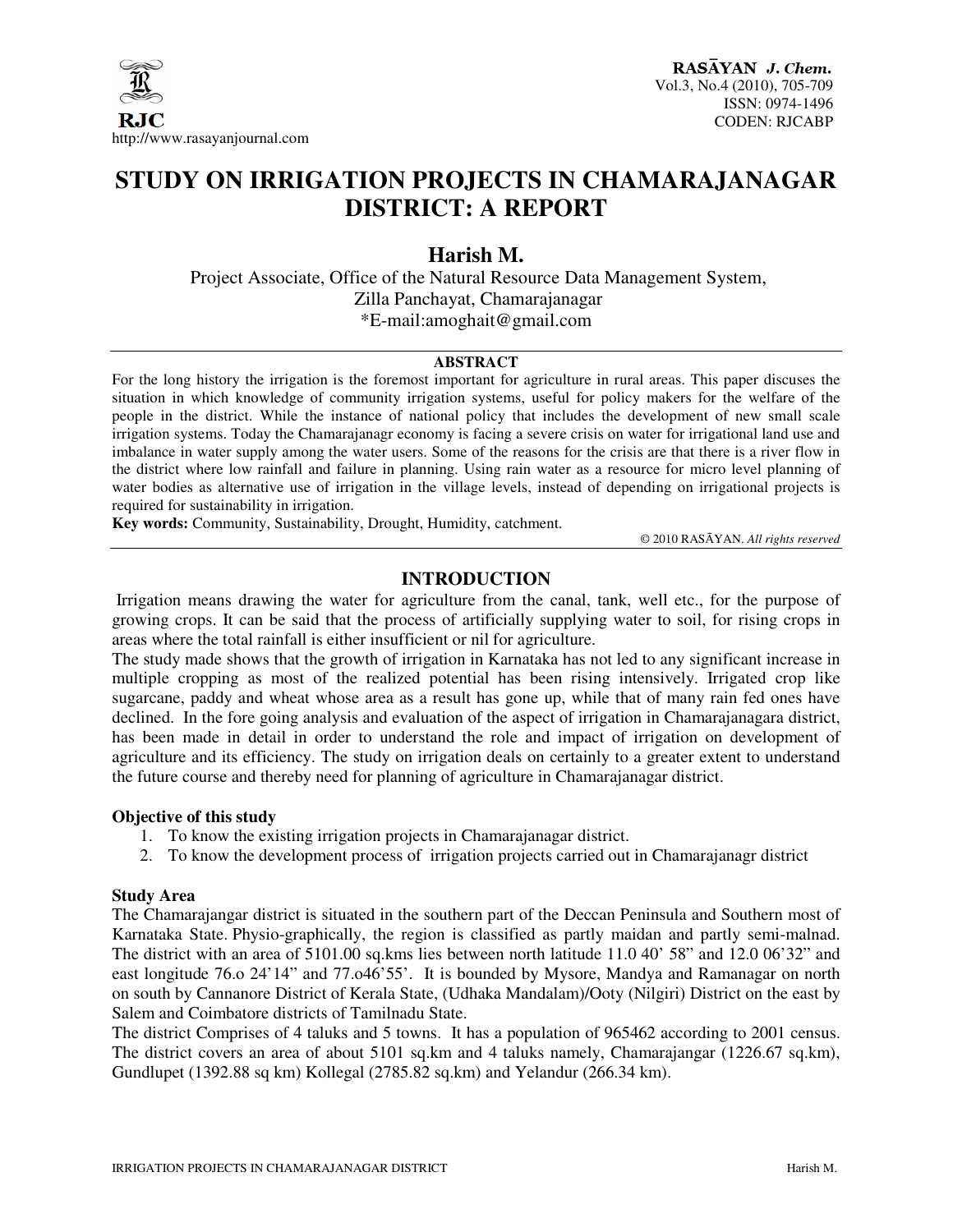

# **STUDY ON IRRIGATION PROJECTS IN CHAMARAJANAGAR DISTRICT: A REPORT**

# **Harish M.**

 Project Associate, Office of the Natural Resource Data Management System, Zilla Panchayat, Chamarajanagar \*E-mail:amoghait@gmail.com

### **ABSTRACT**

For the long history the irrigation is the foremost important for agriculture in rural areas. This paper discuses the situation in which knowledge of community irrigation systems, useful for policy makers for the welfare of the people in the district. While the instance of national policy that includes the development of new small scale irrigation systems. Today the Chamarajanagr economy is facing a severe crisis on water for irrigational land use and imbalance in water supply among the water users. Some of the reasons for the crisis are that there is a river flow in the district where low rainfall and failure in planning. Using rain water as a resource for micro level planning of water bodies as alternative use of irrigation in the village levels, instead of depending on irrigational projects is required for sustainability in irrigation.

**Key words:** Community, Sustainability, Drought, Humidity, catchment.

© 2010 RASĀYAN. *All rights reserved*

# **INTRODUCTION**

Irrigation means drawing the water for agriculture from the canal, tank, well etc., for the purpose of growing crops. It can be said that the process of artificially supplying water to soil, for rising crops in areas where the total rainfall is either insufficient or nil for agriculture.

The study made shows that the growth of irrigation in Karnataka has not led to any significant increase in multiple cropping as most of the realized potential has been rising intensively. Irrigated crop like sugarcane, paddy and wheat whose area as a result has gone up, while that of many rain fed ones have declined. In the fore going analysis and evaluation of the aspect of irrigation in Chamarajanagara district, has been made in detail in order to understand the role and impact of irrigation on development of agriculture and its efficiency. The study on irrigation deals on certainly to a greater extent to understand the future course and thereby need for planning of agriculture in Chamarajanagar district.

#### **Objective of this study**

- 1. To know the existing irrigation projects in Chamarajanagar district.
- 2. To know the development process of irrigation projects carried out in Chamarajanagr district

#### **Study Area**

The Chamarajangar district is situated in the southern part of the Deccan Peninsula and Southern most of Karnataka State. Physio-graphically, the region is classified as partly maidan and partly semi-malnad. The district with an area of 5101.00 sq.kms lies between north latitude 11.0 40' 58" and 12.0 06'32" and east longitude 76.o 24'14" and 77.o46'55'. It is bounded by Mysore, Mandya and Ramanagar on north on south by Cannanore District of Kerala State, (Udhaka Mandalam)/Ooty (Nilgiri) District on the east by Salem and Coimbatore districts of Tamilnadu State.

The district Comprises of 4 taluks and 5 towns. It has a population of 965462 according to 2001 census. The district covers an area of about 5101 sq.km and 4 taluks namely, Chamarajangar (1226.67 sq.km), Gundlupet (1392.88 sq km) Kollegal (2785.82 sq.km) and Yelandur (266.34 km).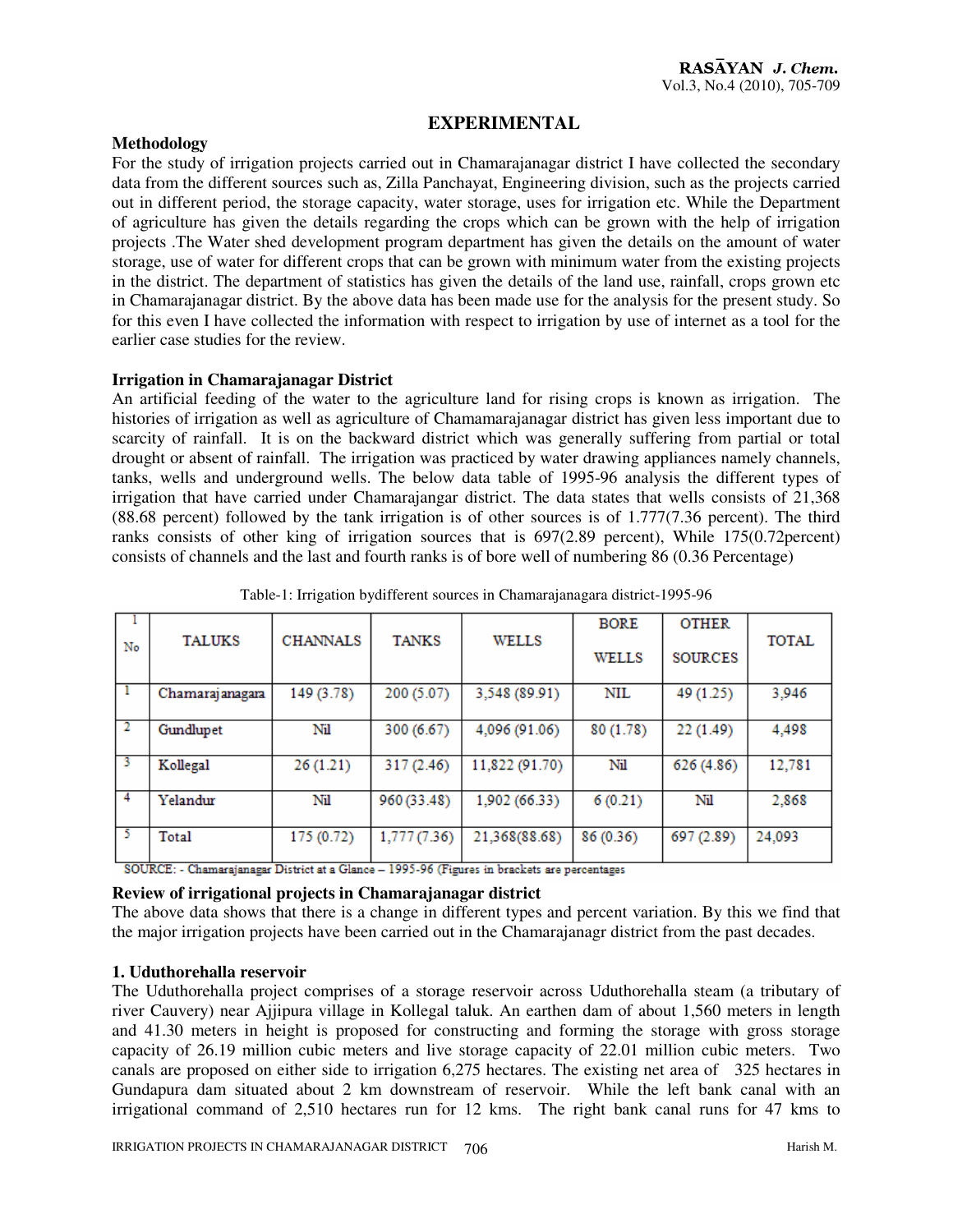# **EXPERIMENTAL**

## **Methodology**

For the study of irrigation projects carried out in Chamarajanagar district I have collected the secondary data from the different sources such as, Zilla Panchayat, Engineering division, such as the projects carried out in different period, the storage capacity, water storage, uses for irrigation etc. While the Department of agriculture has given the details regarding the crops which can be grown with the help of irrigation projects .The Water shed development program department has given the details on the amount of water storage, use of water for different crops that can be grown with minimum water from the existing projects in the district. The department of statistics has given the details of the land use, rainfall, crops grown etc in Chamarajanagar district. By the above data has been made use for the analysis for the present study. So for this even I have collected the information with respect to irrigation by use of internet as a tool for the earlier case studies for the review.

### **Irrigation in Chamarajanagar District**

An artificial feeding of the water to the agriculture land for rising crops is known as irrigation. The histories of irrigation as well as agriculture of Chamamarajanagar district has given less important due to scarcity of rainfall. It is on the backward district which was generally suffering from partial or total drought or absent of rainfall. The irrigation was practiced by water drawing appliances namely channels, tanks, wells and underground wells. The below data table of 1995-96 analysis the different types of irrigation that have carried under Chamarajangar district. The data states that wells consists of 21,368 (88.68 percent) followed by the tank irrigation is of other sources is of 1.777(7.36 percent). The third ranks consists of other king of irrigation sources that is 697(2.89 percent), While 175(0.72percent) consists of channels and the last and fourth ranks is of bore well of numbering 86 (0.36 Percentage)

|    |                 |                 |              |                | <b>BORE</b>  | <b>OTHER</b>   |        |
|----|-----------------|-----------------|--------------|----------------|--------------|----------------|--------|
| No | <b>TALUKS</b>   | <b>CHANNALS</b> | <b>TANKS</b> | <b>WELLS</b>   | <b>WELLS</b> | <b>SOURCES</b> | TOTAL  |
|    |                 |                 |              |                |              |                |        |
|    | Chamarajanagara | 149 (3.78)      | 200 (5.07)   | 3,548 (89.91)  | NIL          | 49 (1.25)      | 3,946  |
| 2  | Gundlupet       | Nil             | 300 (6.67)   | 4,096 (91.06)  | 80(1.78)     | 22 (1.49)      | 4,498  |
|    |                 |                 |              |                |              |                |        |
| -3 | Kollegal        | 26 (1.21)       | 317 (2.46)   | 11,822 (91.70) | Nil          | 626 (4.86)     | 12,781 |
|    |                 |                 |              |                |              |                |        |
| 4  | Yelandur        | Nil             | 960 (33.48)  | 1,902 (66.33)  | 6(0.21)      | Nil            | 2,868  |
|    |                 |                 |              |                |              |                |        |
| 5  | Total           | 175 (0.72)      | 1,777(7.36)  | 21,368(88.68)  | 86 (0.36)    | 697 (2.89)     | 24,093 |
|    |                 |                 |              |                |              |                |        |

Table-1: Irrigation bydifferent sources in Chamarajanagara district-1995-96

SOURCE: - Chamarajanagar District at a Glance - 1995-96 (Figures in brackets are percentages

# **Review of irrigational projects in Chamarajanagar district**

The above data shows that there is a change in different types and percent variation. By this we find that the major irrigation projects have been carried out in the Chamarajanagr district from the past decades.

#### **1. Uduthorehalla reservoir**

The Uduthorehalla project comprises of a storage reservoir across Uduthorehalla steam (a tributary of river Cauvery) near Ajjipura village in Kollegal taluk. An earthen dam of about 1,560 meters in length and 41.30 meters in height is proposed for constructing and forming the storage with gross storage capacity of 26.19 million cubic meters and live storage capacity of 22.01 million cubic meters. Two canals are proposed on either side to irrigation 6,275 hectares. The existing net area of 325 hectares in Gundapura dam situated about 2 km downstream of reservoir. While the left bank canal with an irrigational command of 2,510 hectares run for 12 kms. The right bank canal runs for 47 kms to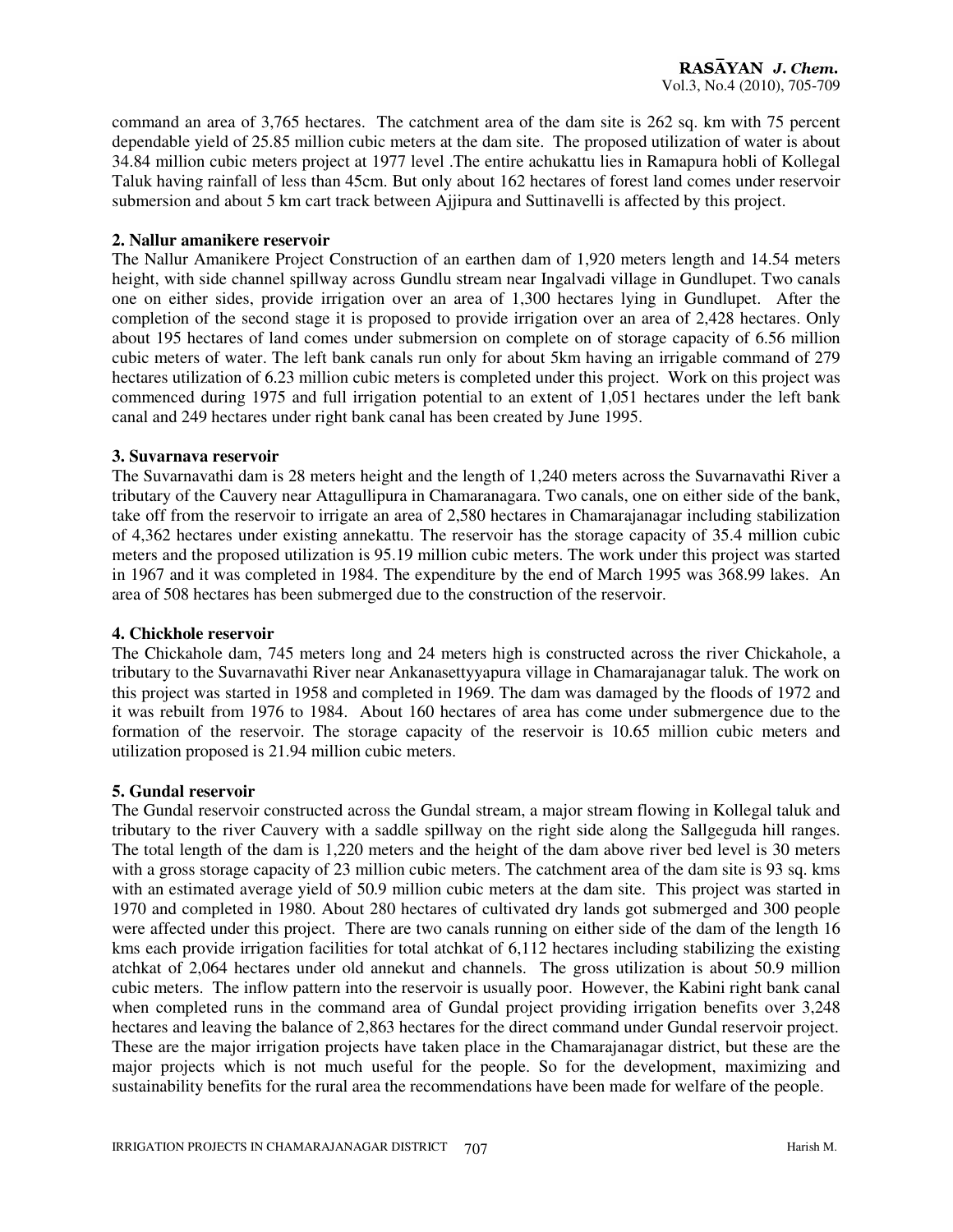command an area of 3,765 hectares. The catchment area of the dam site is 262 sq. km with 75 percent dependable yield of 25.85 million cubic meters at the dam site. The proposed utilization of water is about 34.84 million cubic meters project at 1977 level .The entire achukattu lies in Ramapura hobli of Kollegal Taluk having rainfall of less than 45cm. But only about 162 hectares of forest land comes under reservoir submersion and about 5 km cart track between Ajjipura and Suttinavelli is affected by this project.

### **2. Nallur amanikere reservoir**

The Nallur Amanikere Project Construction of an earthen dam of 1,920 meters length and 14.54 meters height, with side channel spillway across Gundlu stream near Ingalvadi village in Gundlupet. Two canals one on either sides, provide irrigation over an area of 1,300 hectares lying in Gundlupet. After the completion of the second stage it is proposed to provide irrigation over an area of 2,428 hectares. Only about 195 hectares of land comes under submersion on complete on of storage capacity of 6.56 million cubic meters of water. The left bank canals run only for about 5km having an irrigable command of 279 hectares utilization of 6.23 million cubic meters is completed under this project. Work on this project was commenced during 1975 and full irrigation potential to an extent of 1,051 hectares under the left bank canal and 249 hectares under right bank canal has been created by June 1995.

### **3. Suvarnava reservoir**

The Suvarnavathi dam is 28 meters height and the length of 1,240 meters across the Suvarnavathi River a tributary of the Cauvery near Attagullipura in Chamaranagara. Two canals, one on either side of the bank, take off from the reservoir to irrigate an area of 2,580 hectares in Chamarajanagar including stabilization of 4,362 hectares under existing annekattu. The reservoir has the storage capacity of 35.4 million cubic meters and the proposed utilization is 95.19 million cubic meters. The work under this project was started in 1967 and it was completed in 1984. The expenditure by the end of March 1995 was 368.99 lakes. An area of 508 hectares has been submerged due to the construction of the reservoir.

#### **4. Chickhole reservoir**

The Chickahole dam, 745 meters long and 24 meters high is constructed across the river Chickahole, a tributary to the Suvarnavathi River near Ankanasettyyapura village in Chamarajanagar taluk. The work on this project was started in 1958 and completed in 1969. The dam was damaged by the floods of 1972 and it was rebuilt from 1976 to 1984. About 160 hectares of area has come under submergence due to the formation of the reservoir. The storage capacity of the reservoir is 10.65 million cubic meters and utilization proposed is 21.94 million cubic meters.

# **5. Gundal reservoir**

The Gundal reservoir constructed across the Gundal stream, a major stream flowing in Kollegal taluk and tributary to the river Cauvery with a saddle spillway on the right side along the Sallgeguda hill ranges. The total length of the dam is 1,220 meters and the height of the dam above river bed level is 30 meters with a gross storage capacity of 23 million cubic meters. The catchment area of the dam site is 93 sq. kms with an estimated average yield of 50.9 million cubic meters at the dam site. This project was started in 1970 and completed in 1980. About 280 hectares of cultivated dry lands got submerged and 300 people were affected under this project. There are two canals running on either side of the dam of the length 16 kms each provide irrigation facilities for total atchkat of 6,112 hectares including stabilizing the existing atchkat of 2,064 hectares under old annekut and channels. The gross utilization is about 50.9 million cubic meters. The inflow pattern into the reservoir is usually poor. However, the Kabini right bank canal when completed runs in the command area of Gundal project providing irrigation benefits over 3,248 hectares and leaving the balance of 2,863 hectares for the direct command under Gundal reservoir project. These are the major irrigation projects have taken place in the Chamarajanagar district, but these are the major projects which is not much useful for the people. So for the development, maximizing and sustainability benefits for the rural area the recommendations have been made for welfare of the people.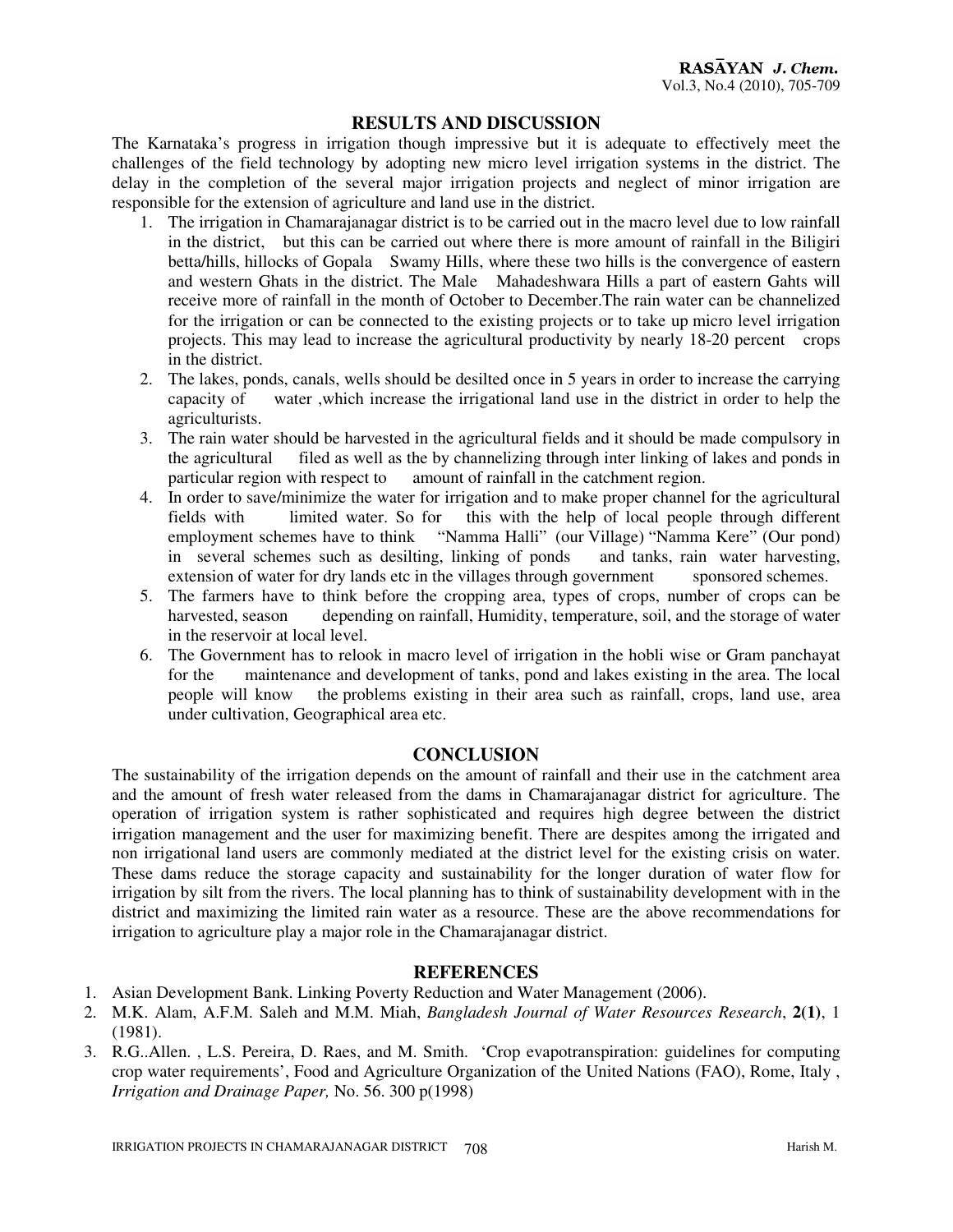## **RESULTS AND DISCUSSION**

The Karnataka's progress in irrigation though impressive but it is adequate to effectively meet the challenges of the field technology by adopting new micro level irrigation systems in the district. The delay in the completion of the several major irrigation projects and neglect of minor irrigation are responsible for the extension of agriculture and land use in the district.

- 1. The irrigation in Chamarajanagar district is to be carried out in the macro level due to low rainfall in the district, but this can be carried out where there is more amount of rainfall in the Biligiri betta/hills, hillocks of Gopala Swamy Hills, where these two hills is the convergence of eastern and western Ghats in the district. The Male Mahadeshwara Hills a part of eastern Gahts will receive more of rainfall in the month of October to December.The rain water can be channelized for the irrigation or can be connected to the existing projects or to take up micro level irrigation projects. This may lead to increase the agricultural productivity by nearly 18-20 percent crops in the district.
- 2. The lakes, ponds, canals, wells should be desilted once in 5 years in order to increase the carrying capacity of water ,which increase the irrigational land use in the district in order to help the agriculturists.
- 3. The rain water should be harvested in the agricultural fields and it should be made compulsory in the agricultural filed as well as the by channelizing through inter linking of lakes and ponds in particular region with respect to amount of rainfall in the catchment region.
- 4. In order to save/minimize the water for irrigation and to make proper channel for the agricultural fields with limited water. So for this with the help of local people through different employment schemes have to think "Namma Halli" (our Village) "Namma Kere" (Our pond) in several schemes such as desilting, linking of ponds and tanks, rain water harvesting, extension of water for dry lands etc in the villages through government sponsored schemes.
- 5. The farmers have to think before the cropping area, types of crops, number of crops can be harvested, season depending on rainfall, Humidity, temperature, soil, and the storage of water in the reservoir at local level.
- 6. The Government has to relook in macro level of irrigation in the hobli wise or Gram panchayat for the maintenance and development of tanks, pond and lakes existing in the area. The local people will know the problems existing in their area such as rainfall, crops, land use, area under cultivation, Geographical area etc.

#### **CONCLUSION**

The sustainability of the irrigation depends on the amount of rainfall and their use in the catchment area and the amount of fresh water released from the dams in Chamarajanagar district for agriculture. The operation of irrigation system is rather sophisticated and requires high degree between the district irrigation management and the user for maximizing benefit. There are despites among the irrigated and non irrigational land users are commonly mediated at the district level for the existing crisis on water. These dams reduce the storage capacity and sustainability for the longer duration of water flow for irrigation by silt from the rivers. The local planning has to think of sustainability development with in the district and maximizing the limited rain water as a resource. These are the above recommendations for irrigation to agriculture play a major role in the Chamarajanagar district.

#### **REFERENCES**

- 1. Asian Development Bank. Linking Poverty Reduction and Water Management (2006).
- 2. M.K. Alam, A.F.M. Saleh and M.M. Miah, *Bangladesh Journal of Water Resources Research*, **2(1)**, 1 (1981).
- 3. R.G..Allen. , L.S. Pereira, D. Raes, and M. Smith. 'Crop evapotranspiration: guidelines for computing crop water requirements', Food and Agriculture Organization of the United Nations (FAO), Rome, Italy , *Irrigation and Drainage Paper,* No. 56. 300 p(1998)